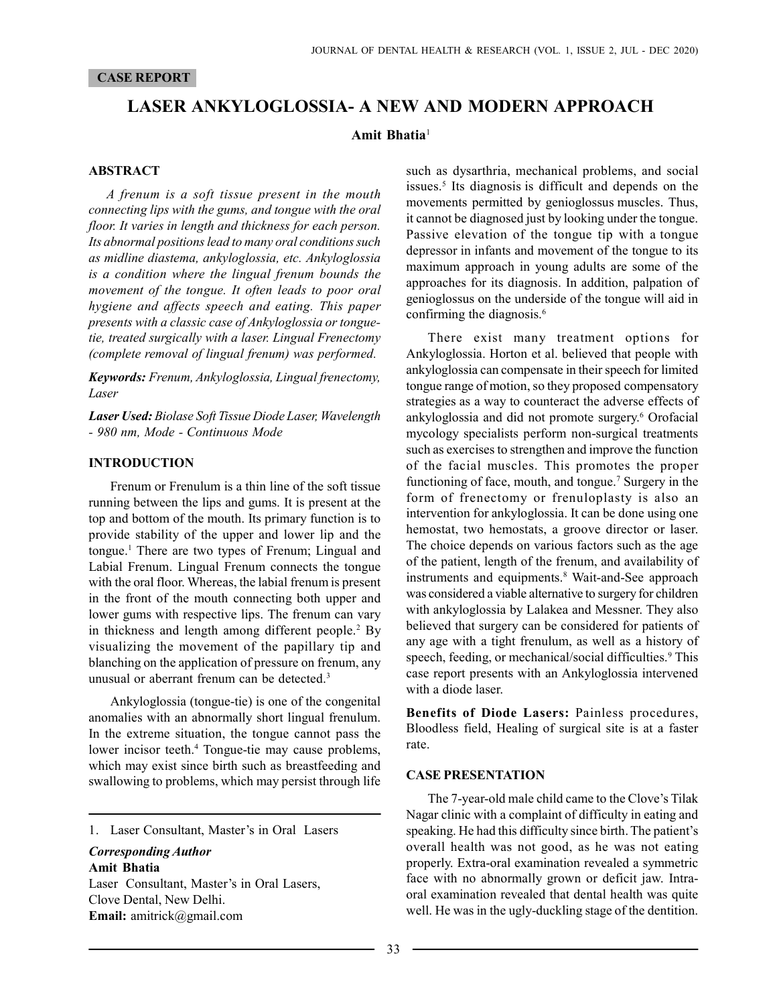#### CASE REPORT

# LASER ANKYLOGLOSSIA- A NEW AND MODERN APPROACH

### Amit Bhatia<sup>1</sup>

#### ABSTRACT

A frenum is a soft tissue present in the mouth connecting lips with the gums, and tongue with the oral floor. It varies in length and thickness for each person. Its abnormal positions lead to many oral conditions such as midline diastema, ankyloglossia, etc. Ankyloglossia is a condition where the lingual frenum bounds the movement of the tongue. It often leads to poor oral hygiene and affects speech and eating. This paper presents with a classic case of Ankyloglossia or tonguetie, treated surgically with a laser. Lingual Frenectomy (complete removal of lingual frenum) was performed.

Keywords: Frenum, Ankyloglossia, Lingual frenectomy, Laser

Laser Used: Biolase Soft Tissue Diode Laser, Wavelength - 980 nm, Mode - Continuous Mode

#### INTRODUCTION

Frenum or Frenulum is a thin line of the soft tissue running between the lips and gums. It is present at the top and bottom of the mouth. Its primary function is to provide stability of the upper and lower lip and the tongue.<sup>1</sup> There are two types of Frenum; Lingual and Labial Frenum. Lingual Frenum connects the tongue with the oral floor. Whereas, the labial frenum is present in the front of the mouth connecting both upper and lower gums with respective lips. The frenum can vary in thickness and length among different people.<sup>2</sup> By visualizing the movement of the papillary tip and blanching on the application of pressure on frenum, any unusual or aberrant frenum can be detected.<sup>3</sup>

Ankyloglossia (tongue-tie) is one of the congenital anomalies with an abnormally short lingual frenulum. In the extreme situation, the tongue cannot pass the lower incisor teeth.<sup>4</sup> Tongue-tie may cause problems, which may exist since birth such as breastfeeding and swallowing to problems, which may persist through life

Corresponding Author Amit Bhatia

Laser Consultant, Master's in Oral Lasers, Clove Dental, New Delhi. Email: amitrick@gmail.com

such as dysarthria, mechanical problems, and social issues.<sup>5</sup> Its diagnosis is difficult and depends on the movements permitted by genioglossus muscles. Thus, it cannot be diagnosed just by looking under the tongue. Passive elevation of the tongue tip with a tongue depressor in infants and movement of the tongue to its maximum approach in young adults are some of the approaches for its diagnosis. In addition, palpation of genioglossus on the underside of the tongue will aid in confirming the diagnosis.<sup>6</sup>

There exist many treatment options for Ankyloglossia. Horton et al. believed that people with ankyloglossia can compensate in their speech for limited tongue range of motion, so they proposed compensatory strategies as a way to counteract the adverse effects of ankyloglossia and did not promote surgery.<sup>6</sup> Orofacial mycology specialists perform non-surgical treatments such as exercises to strengthen and improve the function of the facial muscles. This promotes the proper functioning of face, mouth, and tongue.<sup>7</sup> Surgery in the form of frenectomy or frenuloplasty is also an intervention for ankyloglossia. It can be done using one hemostat, two hemostats, a groove director or laser. The choice depends on various factors such as the age of the patient, length of the frenum, and availability of instruments and equipments.<sup>8</sup> Wait-and-See approach was considered a viable alternative to surgery for children with ankyloglossia by Lalakea and Messner. They also believed that surgery can be considered for patients of any age with a tight frenulum, as well as a history of speech, feeding, or mechanical/social difficulties.<sup>9</sup> This case report presents with an Ankyloglossia intervened with a diode laser.

Benefits of Diode Lasers: Painless procedures, Bloodless field, Healing of surgical site is at a faster rate.

# CASE PRESENTATION

The 7-year-old male child came to the Clove's Tilak Nagar clinic with a complaint of difficulty in eating and speaking. He had this difficulty since birth. The patient's overall health was not good, as he was not eating properly. Extra-oral examination revealed a symmetric face with no abnormally grown or deficit jaw. Intraoral examination revealed that dental health was quite well. He was in the ugly-duckling stage of the dentition.

<sup>1.</sup> Laser Consultant, Master's in Oral Lasers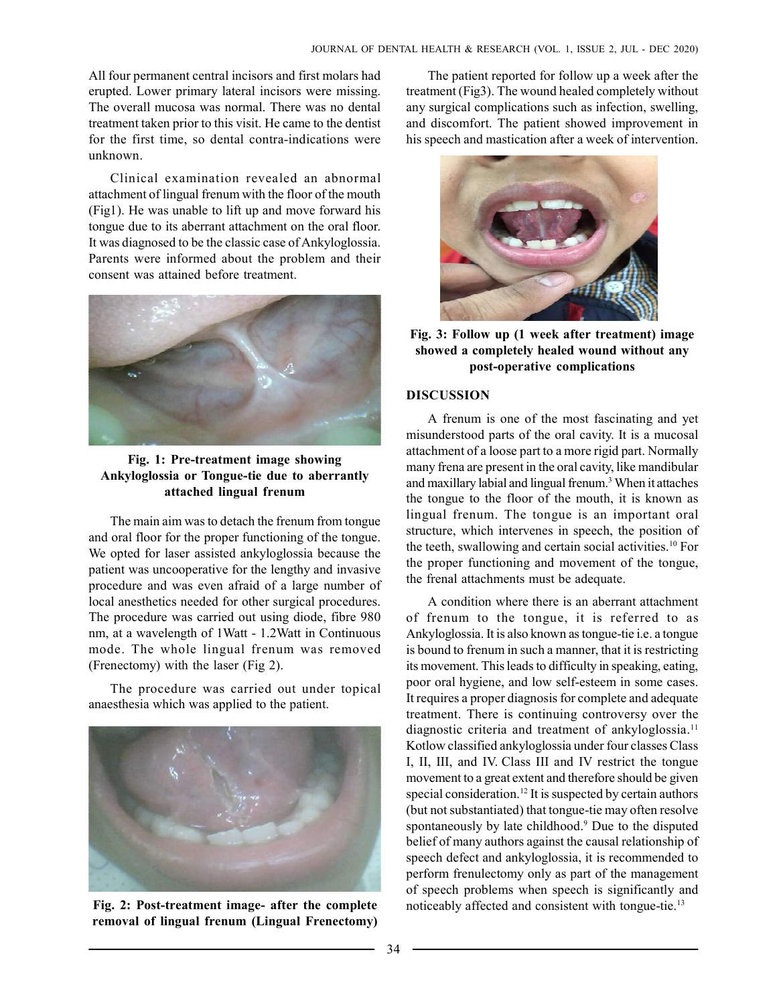All four permanent central incisors and first molars had erupted. Lower primary lateral incisors were missing. The overall mucosa was normal. There was no dental treatment taken prior to this visit. He came to the dentist for the first time, so dental contra-indications were unknown.

Clinical examination revealed an abnormal attachment of lingual frenum with the floor of the mouth (Fig1). He was unable to lift up and move forward his tongue due to its aberrant attachment on the oral floor. It was diagnosed to be the classic case of Ankyloglossia. Parents were informed about the problem and their consent was attained before treatment.



Fig. 1: Pre-treatment image showing Ankyloglossia or Tongue-tie due to aberrantly attached lingual frenum

The main aim was to detach the frenum from tongue and oral floor for the proper functioning of the tongue. We opted for laser assisted ankyloglossia because the patient was uncooperative for the lengthy and invasive procedure and was even afraid of a large number of local anesthetics needed for other surgical procedures. The procedure was carried out using diode, fibre 980 nm, at a wavelength of 1Watt - 1.2Watt in Continuous mode. The whole lingual frenum was removed (Frenectomy) with the laser (Fig 2).

The procedure was carried out under topical anaesthesia which was applied to the patient.



Fig. 2: Post-treatment image- after the complete removal of lingual frenum (Lingual Frenectomy)

The patient reported for follow up a week after the treatment (Fig3). The wound healed completely without any surgical complications such as infection, swelling, and discomfort. The patient showed improvement in his speech and mastication after a week of intervention.



Fig. 3: Follow up (1 week after treatment) image showed a completely healed wound without any post-operative complications

# DISCUSSION

A frenum is one of the most fascinating and yet misunderstood parts of the oral cavity. It is a mucosal attachment of a loose part to a more rigid part. Normally many frena are present in the oral cavity, like mandibular and maxillary labial and lingual frenum.<sup>3</sup> When it attaches the tongue to the floor of the mouth, it is known as lingual frenum. The tongue is an important oral structure, which intervenes in speech, the position of the teeth, swallowing and certain social activities.<sup>10</sup> For the proper functioning and movement of the tongue, the frenal attachments must be adequate.

A condition where there is an aberrant attachment of frenum to the tongue, it is referred to as Ankyloglossia. It is also known as tongue-tie i.e. a tongue is bound to frenum in such a manner, that it is restricting its movement. This leads to difficulty in speaking, eating, poor oral hygiene, and low self-esteem in some cases. It requires a proper diagnosis for complete and adequate treatment. There is continuing controversy over the diagnostic criteria and treatment of ankyloglossia.<sup>11</sup> Kotlow classified ankyloglossia under four classes Class I, II, III, and IV. Class III and IV restrict the tongue movement to a great extent and therefore should be given special consideration.<sup>12</sup> It is suspected by certain authors (but not substantiated) that tongue-tie may often resolve spontaneously by late childhood.<sup>9</sup> Due to the disputed belief of many authors against the causal relationship of speech defect and ankyloglossia, it is recommended to perform frenulectomy only as part of the management of speech problems when speech is significantly and noticeably affected and consistent with tongue-tie.<sup>13</sup>